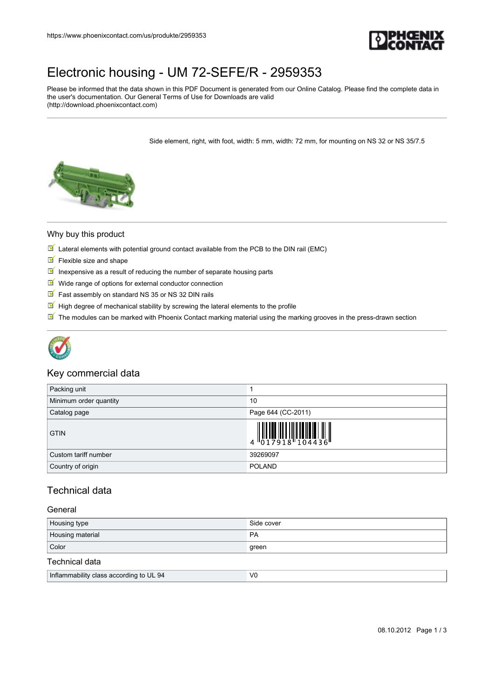

## [Electronic housing - UM 72-SEFE/R - 2959353](https://www.phoenixcontact.com/us/produkte/2959353)

Please be informed that the data shown in this PDF Document is generated from our Online Catalog. Please find the complete data in the user's documentation. Our General Terms of Use for Downloads are valid (http://download.phoenixcontact.com)

Side element, right, with foot, width: 5 mm, width: 72 mm, for mounting on NS 32 or NS 35/7.5



#### Why buy this product

- $\mathbb N$  Lateral elements with potential ground contact available from the PCB to the DIN rail (EMC)
- $F$  Flexible size and shape
- Inexpensive as a result of reducing the number of separate housing parts
- $M$  Wide range of options for external conductor connection
- Fast assembly on standard NS 35 or NS 32 DIN rails
- $\blacksquare$  High degree of mechanical stability by screwing the lateral elements to the profile
- The modules can be marked with Phoenix Contact marking material using the marking grooves in the press-drawn section



### Key commercial data

| Packing unit           |                                                                                                                                                                                                                                                                                                                           |
|------------------------|---------------------------------------------------------------------------------------------------------------------------------------------------------------------------------------------------------------------------------------------------------------------------------------------------------------------------|
| Minimum order quantity | 10                                                                                                                                                                                                                                                                                                                        |
| Catalog page           | Page 644 (CC-2011)                                                                                                                                                                                                                                                                                                        |
| <b>GTIN</b>            | $\begin{array}{c} 1 & 0 & 0 & 0 \\ 0 & 1 & 7 & 9 & 1 & 8 \\ 0 & 1 & 0 & 1 & 1 & 1 \\ 0 & 0 & 0 & 0 & 0 & 0 \\ 0 & 0 & 0 & 0 & 0 & 0 \\ 0 & 0 & 0 & 0 & 0 & 0 \\ 0 & 0 & 0 & 0 & 0 & 0 \\ 0 & 0 & 0 & 0 & 0 & 0 \\ 0 & 0 & 0 & 0 & 0 & 0 & 0 \\ 0 & 0 & 0 & 0 & 0 & 0 & 0 \\ 0 & 0 & 0 & 0 & 0 & 0 & 0 \\ 0 & 0 & 0 & 0 &$ |
| Custom tariff number   | 39269097                                                                                                                                                                                                                                                                                                                  |
| Country of origin      | <b>POLAND</b>                                                                                                                                                                                                                                                                                                             |

### Technical data

#### General

| Housing type     | Side cover |
|------------------|------------|
| Housing material | <b>PA</b>  |
| Color            | green      |
| Technical data   |            |

| <br>to UL 94<br>Inflammability<br>class according | V <sub>0</sub> |
|---------------------------------------------------|----------------|
|                                                   |                |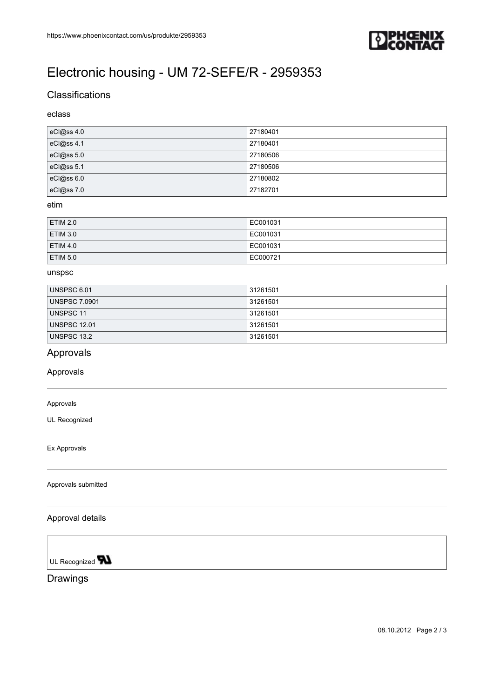

# [Electronic housing - UM 72-SEFE/R - 2959353](https://www.phoenixcontact.com/us/produkte/2959353)

## **Classifications**

### eclass

| eCl@ss 4.0 | 27180401 |
|------------|----------|
| eCl@ss 4.1 | 27180401 |
| eCl@ss 5.0 | 27180506 |
| eCl@ss 5.1 | 27180506 |
| eCl@ss 6.0 | 27180802 |
| eCl@ss 7.0 | 27182701 |

#### etim

| <b>ETIM 2.0</b> | EC001031 |
|-----------------|----------|
| <b>ETIM 3.0</b> | EC001031 |
| <b>ETIM 4.0</b> | EC001031 |
| <b>ETIM 5.0</b> | EC000721 |

#### unspsc

| UNSPSC 6.01          | 31261501 |
|----------------------|----------|
| <b>UNSPSC 7.0901</b> | 31261501 |
| UNSPSC 11            | 31261501 |
| <b>UNSPSC 12.01</b>  | 31261501 |
| UNSPSC 13.2          | 31261501 |

## Approvals

Approvals

#### Approvals

UL Recognized

Ex Approvals

Approvals submitted

#### Approval details

UL Recognized **TN** 

Drawings